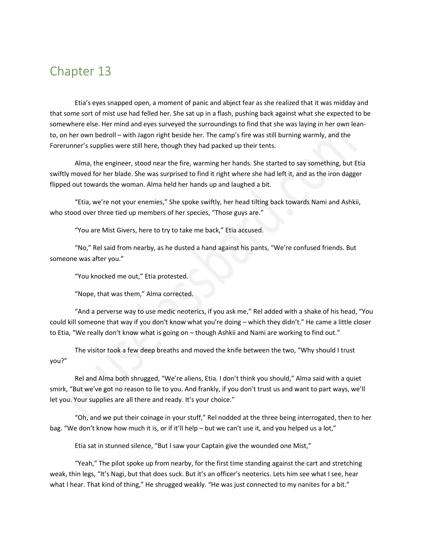## Chapter 13

Etia's eyes snapped open, a moment of panic and abject fear as she realized that it was midday and that some sort of mist use had felled her. She sat up in a flash, pushing back against what she expected to be somewhere else. Her mind and eyes surveyed the surroundings to find that she was laying in her own leanto, on her own bedroll – with Jagon right beside her. The camp's fire was still burning warmly, and the Forerunner's supplies were still here, though they had packed up their tents.

Alma, the engineer, stood near the fire, warming her hands. She started to say something, but Etia swiftly moved for her blade. She was surprised to find it right where she had left it, and as the iron dagger flipped out towards the woman. Alma held her hands up and laughed a bit.

"Etia, we're not your enemies," She spoke swiftly, her head tilting back towards Nami and Ashkii, who stood over three tied up members of her species, "Those guys are."

"You are Mist Givers, here to try to take me back," Etia accused.

"No," Rel said from nearby, as he dusted a hand against his pants, "We're confused friends. But someone was after you."

"You knocked me out," Etia protested.

"Nope, that was them," Alma corrected.

"And a perverse way to use medic neoterics, if you ask me," Rel added with a shake of his head, "You could kill someone that way if you don't know what you're doing – which they didn't." He came a little closer to Etia, "We really don't know what is going on – though Ashkii and Nami are working to find out."

The visitor took a few deep breaths and moved the knife between the two, "Why should I trust you?"

Rel and Alma both shrugged, "We're aliens, Etia. I don't think you should," Alma said with a quiet smirk, "But we've got no reason to lie to you. And frankly, if you don't trust us and want to part ways, we'll let you. Your supplies are all there and ready. It's your choice."

"Oh, and we put their coinage in your stuff," Rel nodded at the three being interrogated, then to her bag. "We don't know how much it is, or if it'll help - but we can't use it, and you helped us a lot,"

Etia sat in stunned silence, "But I saw your Captain give the wounded one Mist,"

"Yeah," The pilot spoke up from nearby, for the first time standing against the cart and stretching weak, thin legs, "It's Nagi, but that does suck. But it's an officer's neoterics. Lets him see what I see, hear what I hear. That kind of thing," He shrugged weakly. "He was just connected to my nanites for a bit."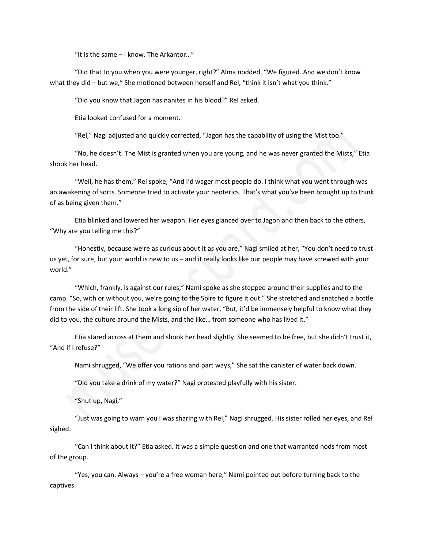"It is the same  $-1$  know. The Arkantor..."

"Did that to you when you were younger, right?" Alma nodded, "We figured. And we don't know what they did – but we," She motioned between herself and Rel, "think it isn't what you think."

"Did you know that Jagon has nanites in his blood?" Rel asked.

Etia looked confused for a moment.

"Rel," Nagi adjusted and quickly corrected, "Jagon has the capability of using the Mist too."

"No, he doesn't. The Mist is granted when you are young, and he was never granted the Mists," Etia shook her head.

"Well, he has them," Rel spoke, "And I'd wager most people do. I think what you went through was an awakening of sorts. Someone tried to activate your neoterics. That's what you've been brought up to think of as being given them."

Etia blinked and lowered her weapon. Her eyes glanced over to Jagon and then back to the others, "Why are you telling me this?"

"Honestly, because we're as curious about it as you are," Nagi smiled at her, "You don't need to trust us yet, for sure, but your world is new to us – and it really looks like our people may have screwed with your world."

"Which, frankly, is against our rules," Nami spoke as she stepped around their supplies and to the camp. "So, with or without you, we're going to the Spire to figure it out." She stretched and snatched a bottle from the side of their lift. She took a long sip of her water, "But, it'd be immensely helpful to know what they did to you, the culture around the Mists, and the like… from someone who has lived it."

Etia stared across at them and shook her head slightly. She seemed to be free, but she didn't trust it, "And if I refuse?"

Nami shrugged, "We offer you rations and part ways," She sat the canister of water back down.

"Did you take a drink of my water?" Nagi protested playfully with his sister.

"Shut up, Nagi,"

"Just was going to warn you I was sharing with Rel," Nagi shrugged. His sister rolled her eyes, and Rel sighed.

"Can I think about it?" Etia asked. It was a simple question and one that warranted nods from most of the group.

"Yes, you can. Always – you're a free woman here," Nami pointed out before turning back to the captives.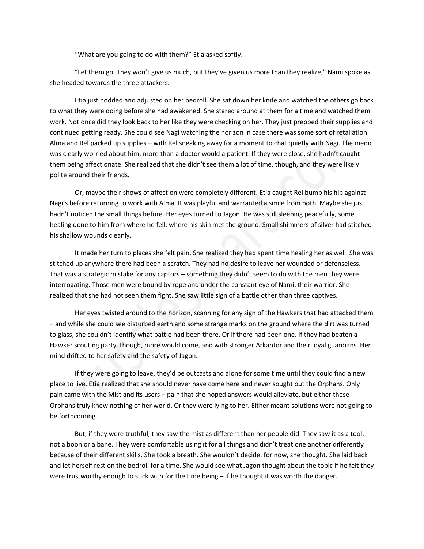"What are you going to do with them?" Etia asked softly.

"Let them go. They won't give us much, but they've given us more than they realize," Nami spoke as she headed towards the three attackers.

Etia just nodded and adjusted on her bedroll. She sat down her knife and watched the others go back to what they were doing before she had awakened. She stared around at them for a time and watched them work. Not once did they look back to her like they were checking on her. They just prepped their supplies and continued getting ready. She could see Nagi watching the horizon in case there was some sort of retaliation. Alma and Rel packed up supplies – with Rel sneaking away for a moment to chat quietly with Nagi. The medic was clearly worried about him; more than a doctor would a patient. If they were close, she hadn't caught them being affectionate. She realized that she didn't see them a lot of time, though, and they were likely polite around their friends.

Or, maybe their shows of affection were completely different. Etia caught Rel bump his hip against Nagi's before returning to work with Alma. It was playful and warranted a smile from both. Maybe she just hadn't noticed the small things before. Her eyes turned to Jagon. He was still sleeping peacefully, some healing done to him from where he fell, where his skin met the ground. Small shimmers of silver had stitched his shallow wounds cleanly.

It made her turn to places she felt pain. She realized they had spent time healing her as well. She was stitched up anywhere there had been a scratch. They had no desire to leave her wounded or defenseless. That was a strategic mistake for any captors – something they didn't seem to do with the men they were interrogating. Those men were bound by rope and under the constant eye of Nami, their warrior. She realized that she had not seen them fight. She saw little sign of a battle other than three captives.

Her eyes twisted around to the horizon, scanning for any sign of the Hawkers that had attacked them – and while she could see disturbed earth and some strange marks on the ground where the dirt was turned to glass, she couldn't identify what battle had been there. Or if there had been one. If they had beaten a Hawker scouting party, though, more would come, and with stronger Arkantor and their loyal guardians. Her mind drifted to her safety and the safety of Jagon.

If they were going to leave, they'd be outcasts and alone for some time until they could find a new place to live. Etia realized that she should never have come here and never sought out the Orphans. Only pain came with the Mist and its users – pain that she hoped answers would alleviate, but either these Orphans truly knew nothing of her world. Or they were lying to her. Either meant solutions were not going to be forthcoming.

But, if they were truthful, they saw the mist as different than her people did. They saw it as a tool, not a boon or a bane. They were comfortable using it for all things and didn't treat one another differently because of their different skills. She took a breath. She wouldn't decide, for now, she thought. She laid back and let herself rest on the bedroll for a time. She would see what Jagon thought about the topic if he felt they were trustworthy enough to stick with for the time being – if he thought it was worth the danger.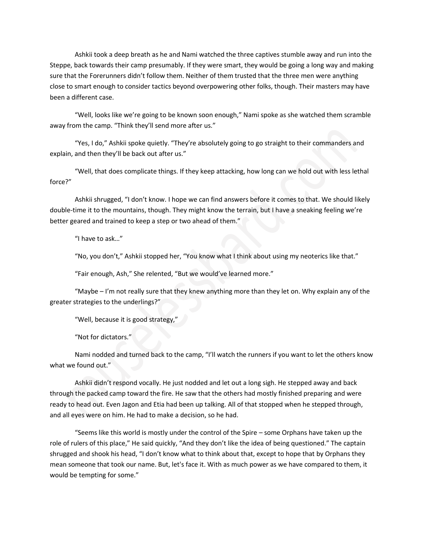Ashkii took a deep breath as he and Nami watched the three captives stumble away and run into the Steppe, back towards their camp presumably. If they were smart, they would be going a long way and making sure that the Forerunners didn't follow them. Neither of them trusted that the three men were anything close to smart enough to consider tactics beyond overpowering other folks, though. Their masters may have been a different case.

"Well, looks like we're going to be known soon enough," Nami spoke as she watched them scramble away from the camp. "Think they'll send more after us."

"Yes, I do," Ashkii spoke quietly. "They're absolutely going to go straight to their commanders and explain, and then they'll be back out after us."

"Well, that does complicate things. If they keep attacking, how long can we hold out with less lethal force?"

Ashkii shrugged, "I don't know. I hope we can find answers before it comes to that. We should likely double-time it to the mountains, though. They might know the terrain, but I have a sneaking feeling we're better geared and trained to keep a step or two ahead of them."

"I have to ask…"

"No, you don't," Ashkii stopped her, "You know what I think about using my neoterics like that."

"Fair enough, Ash," She relented, "But we would've learned more."

"Maybe – I'm not really sure that they knew anything more than they let on. Why explain any of the greater strategies to the underlings?"

"Well, because it is good strategy,"

"Not for dictators."

Nami nodded and turned back to the camp, "I'll watch the runners if you want to let the others know what we found out."

Ashkii didn't respond vocally. He just nodded and let out a long sigh. He stepped away and back through the packed camp toward the fire. He saw that the others had mostly finished preparing and were ready to head out. Even Jagon and Etia had been up talking. All of that stopped when he stepped through, and all eyes were on him. He had to make a decision, so he had.

"Seems like this world is mostly under the control of the Spire – some Orphans have taken up the role of rulers of this place," He said quickly, "And they don't like the idea of being questioned." The captain shrugged and shook his head, "I don't know what to think about that, except to hope that by Orphans they mean someone that took our name. But, let's face it. With as much power as we have compared to them, it would be tempting for some."